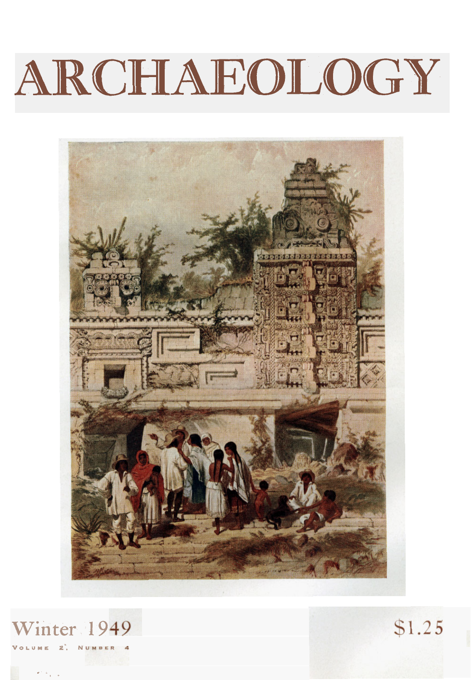# ARCHAEOLOGY





 $$1.25$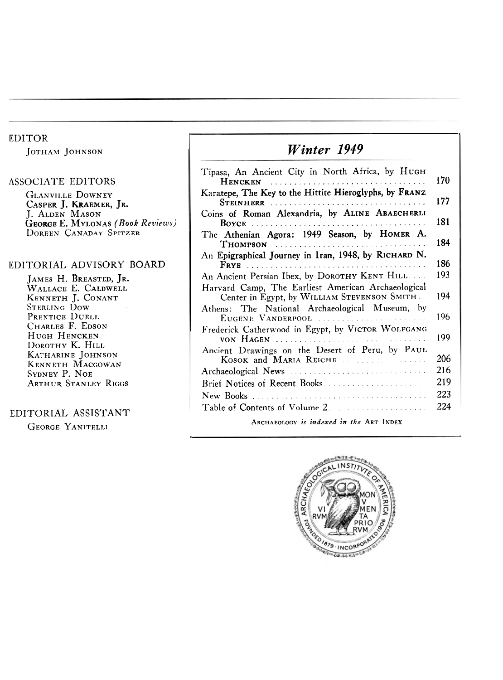#### EDITOR

JOTHAM JOHNSON

#### ASSOCIATE EDITORS

**GLANVILLE DOWNEY** J. ALDEN MASON DOREEN CANADAY SPITZER CASPER J. KRAEMER, JR. GEORGE E. MYLONAS *(Book Reviews)* 

#### EDITORIAL ADVISORY BOARD

JAMES H. BREASTED, JR. WALLACE E. CALDWELL KENNETH J. CONANT STERLING Dow PRENTICE DUELL CHARLES F. EDSON HUGH HENCKEN DOROTHY K. HILL KATHARINE JOHNSON KENNETH MACGOWAN SYDNEY P. NOE ARTHUR STANLEY RIGGS

#### EDITORIAL ASSISTANT

GEORGE YANITELLI

## *Winter 1949*

| Tipasa, An Ancient City in North Africa, by HUGH                                                   | 170 |
|----------------------------------------------------------------------------------------------------|-----|
| Karatepe, The Key to the Hittite Hieroglyphs, by FRANZ                                             | 177 |
| Coins of Roman Alexandria, by ALINE ABAECHERLI                                                     | 181 |
| The Athenian Agora: 1949 Season, by HOMER A.<br>THOMPSON                                           | 184 |
| An Epigraphical Journey in Iran, 1948, by RICHARD N.                                               | 186 |
| An Ancient Persian Ibex, by DOROTHY KENT HILL                                                      | 193 |
| Harvard Camp, The Earliest American Archaeological<br>Center in Egypt, by WILLIAM STEVENSON SMITH. | 194 |
| Athens: The National Archaeological Museum, by<br>EUGENE VANDERPOOL                                | 196 |
| Frederick Catherwood in Egypt, by VICTOR WOLFGANG                                                  | 199 |
| Ancient Drawings on the Desert of Peru, by PAUL<br>KOSOK and MARIA REICHE.                         | 206 |
| Archaeological News                                                                                | 216 |
| Brief Notices of Recent Books                                                                      | 219 |
|                                                                                                    | 223 |
|                                                                                                    | 224 |
| ARCHAEOLOGY is indexed in the ART INDEX                                                            |     |

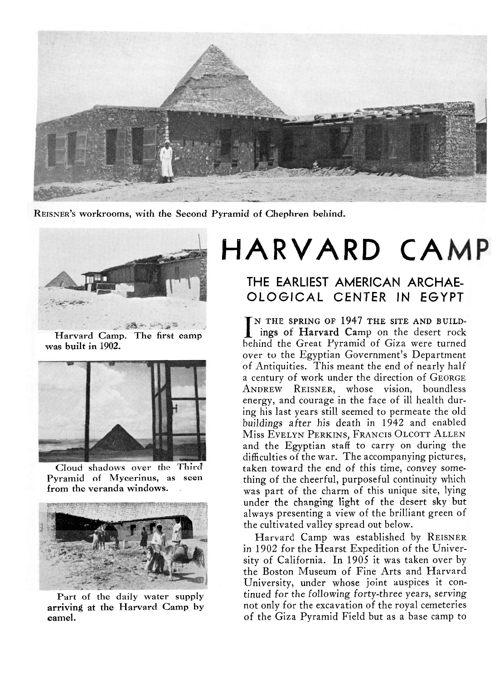

**REISNER'S workrooms, with the Second Pyramid of Chephren behind.** 



**was built in 1902.** 



Cloud **shadows over the Third** 



**Part of the daily water supply arriving at the Harvard Camp by camel.** 

# **HARVARD CAMP**

### THE EARLIEST AMERICAN ARCHAE-OLOGICAL CENTER IN EGYPT

N THE SPRING OF **1947** THE SITE AND BUILD- Harvard Camp. The first camp **In the desert of Harvard Camp** on the desert rock behind the Great Pyramid of Giza were turned over to the Egyptian Government's Department of Antiquities. This meant the end of nearly half a century of work under the direction of GEORGE ANDREW REISNER, whose vision, boundless energy, and courage in the face of ill health during his last years still seemed to permeate the old buildings after his death in **1942** and enabled Miss EVELYN PERKINS, FRANCIS OLCOTT ALLEN and the Egyptian staff to carry on during the difficulties of the war. The accompanying pictures, taken toward the end of this time, convey some-**Pyramid of Mycerinus, as seen** thing of the cheerful, purposeful continuity which from the veranda windows. was part of the charm of this unique site, lying **under the bLL"L.'s"'b** *light under* r *the* **changing light** *of the* **desert sky but**  always presenting a view of the brilliant green of the cultivated valley spread out below.

> Harvard Camp was established by REISNER in **1902** for the Hearst Expedition of the University of California. In **1905** it was taken over by the Boston Museum of Fine Arts and Harvard University, under whose joint auspices it continued for *the* following forty-three years, serving not only for the excavation of the royal cemeteries of the Giza Pyramid Field but as a base camp to